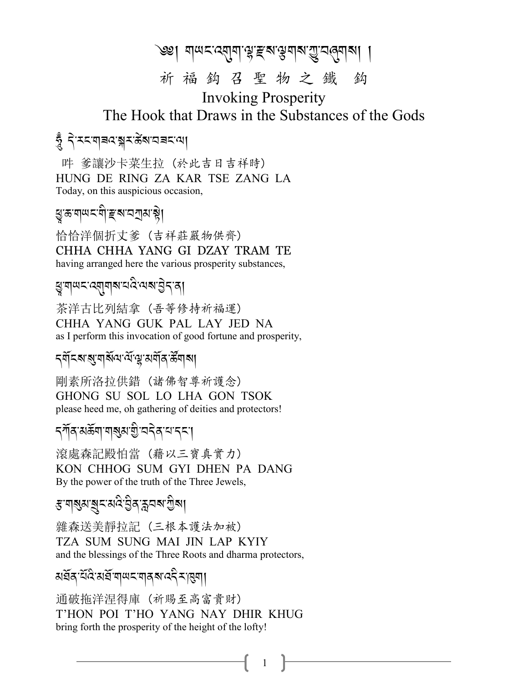#### ক্ষ। মান্দর্যমাঞ্জইন্স্কিয়ার্জীব্রাবা

#### 祈福鈎召聖物之鐵 鈎

**Invoking Prosperity** The Hook that Draws in the Substances of the Gods

#### হুঁ বিৰোৰে স্বৰ্ষৰ স্থা

吽 爹讓沙卡菜生拉 (於此吉日吉祥時) HUNG DE RING ZA KAR TSE ZANG LA Today, on this auspicious occasion,

ধ্ৰুভ্ৰূণাখনৰী*ছ* ৰানস্ৰাস্থা

恰恰洋個折丈爹 (吉祥莊嚴物供齊) CHHA CHHA YANG GI DZAY TRAM TE having arranged here the various prosperity substances,

### ধ্যুত্ৰাঅহ:ব্ৰ্মানাৰামবি:অৰ্মান্তীব্ৰা

茶洋古比列結拿 (吾等修持祈福運) CHHA YANG GUK PAL LAY JED NA as I perform this invocation of good fortune and prosperity,

### *ॸ*ॺॕड़ॎॹॶॴख़ॱख़ॱख़ॷख़ॺॕॖॺॱऄॕ॔ॺऻॴ

剛素所洛拉供錯 (諸佛智尊祈護念) GHONG SU SOL LO LHA GON TSOK please heed me, oh gathering of deities and protectors!

#### *ॸ্*ग़ॕॺॱॺॐॺॱॺऻॺॖॺॱॻॖऀॱय़ॸॆॺॱय़ॱॸॸॱॎ

滾處森記殿怕當 (藉以三寶真實力) KON CHHOG SUM GYI DHEN PA DANG By the power of the truth of the Three Jewels,

#### ৼ৸য়৶য়ৼৼ৸৻ৼঀৣ৾ঀ৾ৼঀ৸৸৻ড়

雜森送美靜抗記 (三根本護法加被) TZA SUM SUNG MAI JIN LAP KYIY and the blessings of the Three Roots and dharma protectors,

#### য়৾৾ঽ৾ঀ৾ৼৢ৻ৼৢ৻ৼৢ৻৸৸৸৸৸৸৸৸৸৸৸৸৸৸

通破拖洋涅得庫 (祈賜至高富貴財) T'HON POI T'HO YANG NAY DHIR KHUG bring forth the prosperity of the height of the lofty!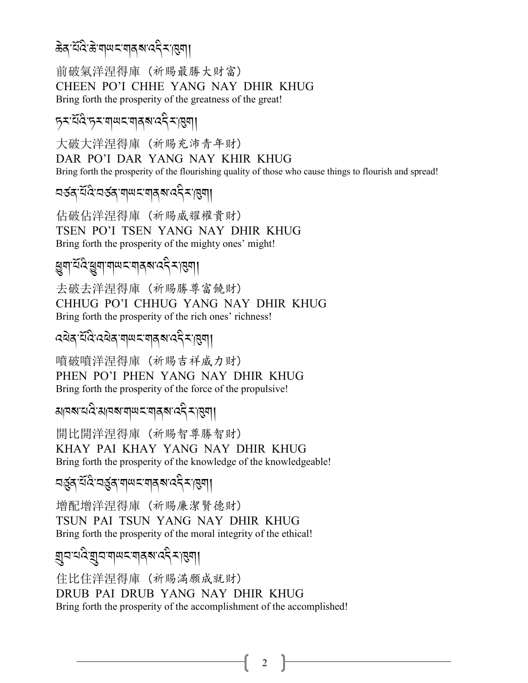## क्ष्वे, द्यंदि:क्षंय||*प*्रायत्र्वे, दत्त्वर्या|

前破氣洋涅得庫 (祈賜最勝大財富) CHEEN PO'I CHHE YANG NAY DHIR KHUG Bring forth the prosperity of the greatness of the great!

## *+<-0*R*:* C*-+<-\$ ;% -\$/?-:.* A*<-*#*\$*,

大破大洋涅得庫 (祈賜充沛青年財) DAR PO'I DAR YANG NAY KHIR KHUG Bring forth the prosperity of the flourishing quality of those who cause things to flourish and spread!

বৰ্ত্তৰ্স<sup>-পূত্ৰৰ প্ৰাপ্ত বৰ্ত্ত সম্পৰ্ক সম্পৰ্ক সম্পৰ্ক সম্পৰ্ক সম্পৰ্ক সম্পৰ্ক সম্পৰ্ক সম্পৰ্ক সম্পৰ্ক সম্পৰ্ক<br>বৰ্ত্ত সম্পৰ্ক সম্পৰ্ক সম্পৰ্ক সম্পৰ্ক সম্পৰ্ক সম্পৰ্ক সম্পৰ্ক সম্পৰ্ক সম্পৰ্ক সম্পৰ্ক সম্পৰ্ক সম্পৰ্ক সম্পৰ</sup>

佔破佔洋涅得庫 (祈賜威耀權貴財) TSEN PO'I TSEN YANG NAY DHIR KHUG Bring forth the prosperity of the mighty ones' might!

#### *हु*षा<sup>:</sup>दॅदि:छुषा:ष|ਘ८:ष|द&रदेर:।हुष|| A

去破去洋涅得庫 (祈賜勝尊富饒財) CHHUG PO'I CHHUG YANG NAY DHIR KHUG Bring forth the prosperity of the rich ones' richness!

<u>द्विद्वाद्यदेव बालराजी राज्य स्था</u>

噴破噴洋涅得庫 (祈賜吉祥威力財) PHEN PO'I PHEN YANG NAY DHIR KHUG Bring forth the prosperity of the force of the propulsive!

apara2:aparqwz:यव्रव:42,2:1341 A Links

開比開洋涅得庫 (祈賜智尊勝智財) KHAY PAI KHAY YANG NAY DHIR KHUG Bring forth the prosperity of the knowledge of the knowledgeable!

বৰ্ত্ত্ৰস্<sup>পৰি:</sup>বৰ্ত্ত্ত্ৰস্পৰ্শৰ স্পৰ্শ ৰকীৰ্<sup>2</sup> সম্ভিন|  $\ddot{\phantom{0}}$ 

增配增洋涅得庫 (祈賜廉潔賢德財) TSUN PAI TSUN YANG NAY DHIR KHUG Bring forth the prosperity of the moral integrity of the ethical!

$$
\text{Var}(\mathbf{x},\mathbf{y}) = \text{Var}(\mathbf{x},\mathbf{y})
$$

住比住洋涅得庫 (祈賜滿願成就財) DRUB PAI DRUB YANG NAY DHIR KHUG Bring forth the prosperity of the accomplishment of the accomplished!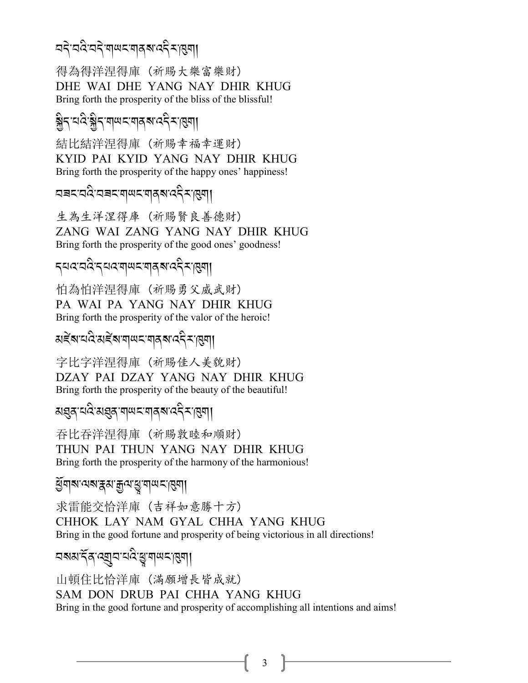#### ব<ৰ বিত্ৰবিদ্যালয়ৰ বিত্তি স্বৰী A<br>A<br>A A.

得為得洋涅得庫 (祈賜大樂富樂財) DHE WAI DHE YANG NAY DHIR KHUG Bring forth the prosperity of the bliss of the blissful!

# <u> န</u><br>နွှဲ<sub>်</sub> : 12 နွှဲ/ 2 almaz ale XIII

結比結洋涅得庫 (祈賜幸福幸運財) KYID PAI KYID YANG NAY DHIR KHUG Bring forth the prosperity of the happy ones' happiness!

aac:a&aac:a|we:a|a|a,aside||

生為生洋涅得庫 (祈賜賢良善德財) ZANG WAI ZANG YANG NAY DHIR KHUG Bring forth the prosperity of the good ones' goodness!

#### *.0:-2:* A*-.0 :-\$;% -\$/ ?-:. <-*#*\$*, A

怕為怕洋涅得庫 (祈賜勇父威武財) PA WAI PA YANG NAY DHIR KHUG Bring forth the prosperity of the valor of the heroic!

মৰ্≅্ষামৰি স্পত্ৰৰ স্পত্ৰী

字比字洋涅得庫 (祈賜佳人美貌財) DZAY PAI DZAY YANG NAY DHIR KHUG Bring forth the prosperity of the beauty of the beautiful!

মগ্ৰন্স<sup>-</sup>নাৰ্থৰ, ব্ৰালাৰ্ট সংগ্ৰন্<mark>ম</mark> সংগ্ৰন্

吞比吞洋涅得庫 (祈賜敦睦和順財) THUN PAI THUN YANG NAY DHIR KHUG Bring forth the prosperity of the harmony of the harmonious!

*প্ৰ*িম নেৰাস্ক্ৰম ক্ৰুন্ম দ্ৰু মান দ্ৰৱী

求雷能交恰洋庫 (吉祥如意勝十方) CHHOK LAY NAM GYAL CHHA YANG KHUG Bring in the good fortune and prosperity of being victorious in all directions!

*2?3-.*R*/-:*P*2-0:* A*-*K*-\$ ;% -*#*\$*,

山頓住比恰洋庫 (滿願增長皆成就) SAM DON DRUB PAI CHHA YANG KHUG Bring in the good fortune and prosperity of accomplishing all intentions and aims!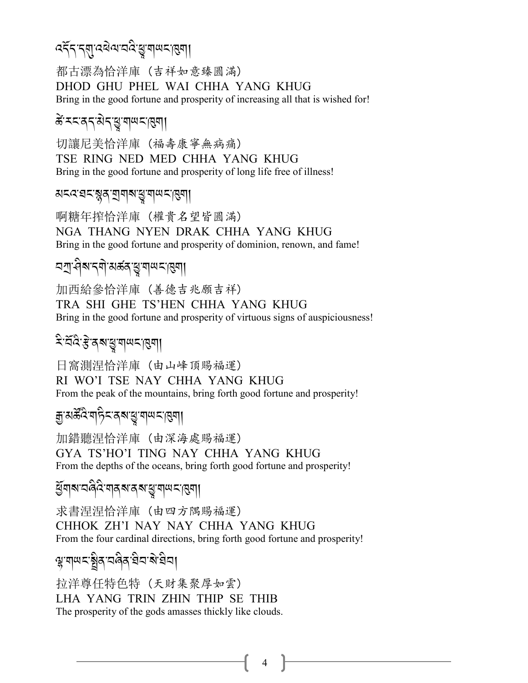### दिन् न्याद्येव्यावदेखुः वायनायुषा।

都古漂為恰洋庫 (吉祥如意臻圓滿) DHOD GHU PHEL WAI CHHA YANG KHUG Bring in the good fortune and prosperity of increasing all that is wished for!

#### ङे **मन्द्र बन्धि विषय** सुषा।

切讓尼美恰洋庫 (福壽康寧無病痛) TSE RING NED MED CHHA YANG KHUG Bring in the good fortune and prosperity of long life free of illness!

#### अद्रदावदाञ्जूवायावाङ्मयाणदासुगा

啊糖年搾恰洋庫 (權貴名望皆圓滿) NGA THANG NYEN DRAK CHHA YANG KHUG Bring in the good fortune and prosperity of dominion, renown, and fame!

## <u>ี</u> न्युः सिर्बार न्या अर्कत् सु वा पर न्या

加西給參恰洋庫 (善德吉兆願吉祥) TRA SHI GHE TS'HEN CHHA YANG KHUG Bring in the good fortune and prosperity of virtuous signs of auspiciousness!

### दे चॅदे हे दबाड़ गणदाहुगा

日窩測涅恰洋庫 (由山峰頂賜福運) RI WO'I TSE NAY CHHA YANG KHUG From the peak of the mountains, bring forth good fortune and prosperity!

#### ক্সুমৰ্ক্টবি<sup>:</sup>শহ্নিবৰুম্ভূ:শত্ম-প্ৰিমা

加錯聽涅恰洋庫 (由深海處賜福運) GYA TS'HO'I TING NAY CHHA YANG KHUG From the depths of the oceans, bring forth good fortune and prosperity!

#### *ધું* गरु विदेश्यात्रूय त्याद्यु गण्ण्डानु

求書涅涅恰洋庫 (由四方隅賜福運) CHHOK ZH'I NAY NAY CHHA YANG KHUG From the four cardinal directions, bring forth good fortune and prosperity!

#### ॷॱॺ∣**ਘ**ॸॱॺॗॖॆॺॱय़ऄॿॱऀय़॓ॺॱऄॱऀय़ॴ

拉洋尊任特色特 (天財集聚厚如雲) LHA YANG TRIN ZHIN THIP SE THIB The prosperity of the gods amasses thickly like clouds.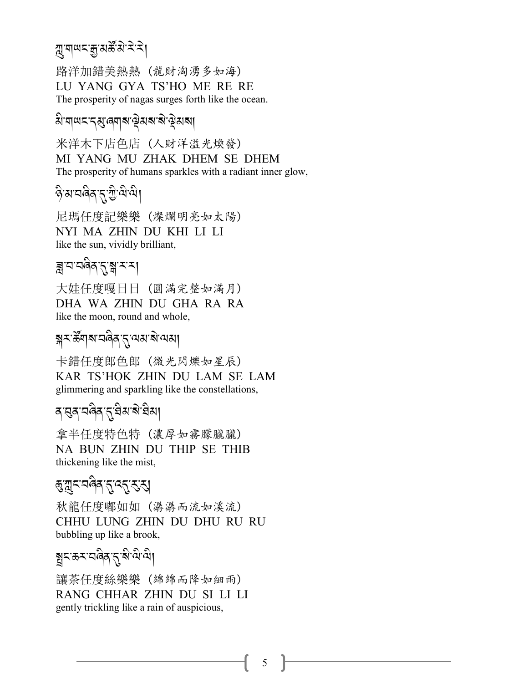#### *মু*:মাঅন্স্ক্রি: ব্রাই-বা J

路洋加錯美熱熱 (龍財洶湧多如海) LU YANG GYA TS'HO ME RE RE The prosperity of nagas surges forth like the ocean.

## $\widehat{\mathsf{a}}$ 'ল|অ'ন্ন্স্বলাৰাণ্ট্ৰমৰাৰাম্পৰী

米洋木下店色店 (人財洋溢光煥發) MI YANG MU ZHAK DHEM SE DHEM The prosperity of humans sparkles with a radiant inner glow,

#### *\** A*-3-28* A*/-*.*-G -=* A*-=*A, A

尼瑪任度記樂樂 (燦爛明亮如太陽) NYI MA ZHIN DU KHI LI LI like the sun, vividly brilliant,

## ৰ বিত্ৰজীৱ <u>(স্ব</u>াৰ্শ্

大娃任度嘎日日 (圓滿完整如滿月) DHA WA ZHIN DU GHA RA RA like the moon, round and whole,

## ৰ্শ্ন-স্টেঁশৰ শৰ্মৰ প্ৰাপ্ত স্প<sup>ৰ</sup> স্পৰ্শ

卡錯任度郎色郎 (微光閃爍如星辰) KAR TS'HOK ZHIN DU LAM SE LAM glimmering and sparkling like the constellations,

## ৰ্'বৰ্'নন্দ্ৰীৰ'মু<sup>-</sup>প্ৰিম'ৰীম|

拿半任度特色特 (濃厚如霧朦朧朧) NA BUN ZHIN DU THIP SE THIB thickening like the mist,

# *हुः त्रु* द्र्ाट्र्र्ट्य्<br>जन्मान्द्रम्

秋龍任度嘟如如 (潺潺而流如溪流) CHHU LUNG ZHIN DU DHU RU RU bubbling up like a brook,

# ষ্ট্ৰহ্মস্তম্বৰ্বৰ <mark>প্ৰা</mark>ন্ত কৰি

讓茶任度絲樂樂 (綿綿而降如細雨) RANG CHHAR ZHIN DU SI LI LI gently trickling like a rain of auspicious,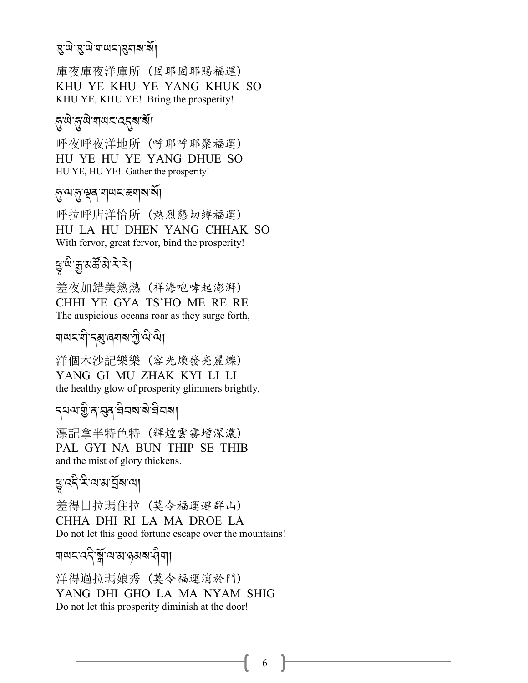## |ম্ৰ<sup>:</sup>শ্ৰ:ম|অম্'ৰ্জাৰাজ্য

庫夜庫夜洋庫所 (固耶固耶賜福運) KHU YE KHU YE YANG KHUK SO KHU YE, KHU YE! Bring the prosperity!

## @*-;* J*-*@*-;* J*-\$;% -:*.*?-?*R,

呼夜呼夜洋地所 (呼耶呼耶聚福運) HU YE HU YE YANG DHUE SO HU YE, HU YE! Gather the prosperity!

#### ্কৃ<sup>:</sup>ম্কৃ:ম্বৃত্ত্ব শাখ় - ক্ৰমৰাজ্য

呼拉呼店洋恰所 (熱烈懇切縛福運) HU LA HU DHEN YANG CHHAK SO With fervor, great fervor, bind the prosperity!

## ধ্য<u>ুল্ল প্ৰভূ</u>্য প্ৰদ

差夜加錯美熱熱 (祥海咆哮起澎湃) CHHI YE GYA TS'HO ME RE RE The auspicious oceans roar as they surge forth,

#### ন|ঋহ'নী'ব্ৰ্য্তৰ্<mark>ন</mark>াৰ'শ্ৰী'<sup>নীত</sup>া A<br>A

洋個木沙記樂樂 (容光煥發亮麗爍) YANG GI MU ZHAK KYI LI LI the healthy glow of prosperity glimmers brightly,

## ব্যব্যগ্ৰীপ্ৰব্ৰাষ্ট্ৰ ইনৰা

漂記拿半特色特 (輝煌雲霧增深濃) PAL GYI NA BUN THIP SE THIB and the mist of glory thickens.

## ধ্যুত্ত<del>্বই, দু</del>ৰ্ত্ত্যপ্ৰা

差得日拉瑪住拉 (莫令福運避群山) CHHA DHI RI LA MA DROE LA Do not let this good fortune escape over the mountains!

#### শ্ৰদ্দৰেই স্ক্ৰীৰ্মকান্ত্ৰ ৰামৰীৰা A The contract of the contract of the contract of the contract of the contract of the contract of the contract of the contract of the contract of the contract of the contract of the contract of the contract of the contract

洋得過拉瑪娘秀 (莫令福運消於門) YANG DHI GHO LA MA NYAM SHIG Do not let this prosperity diminish at the door!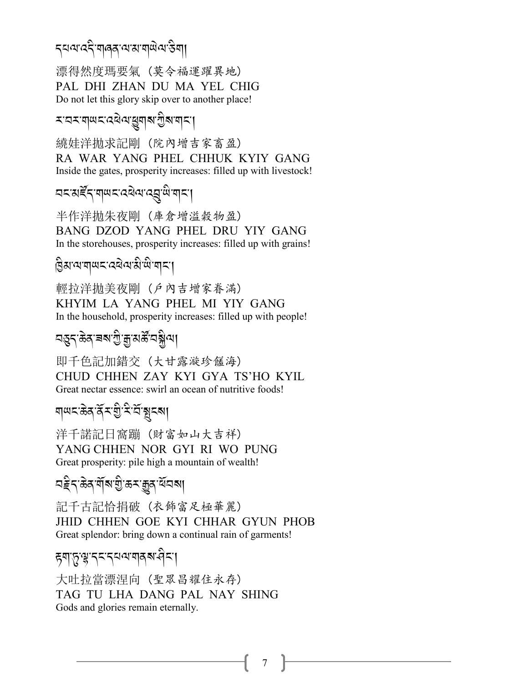## ব্যব্যবহী শৰৰ অসম শৰ্মী ব্যক্তিশা

漂得然度瑪要氣 (莫令福運躍異地) PAL DHI ZHAN DU MA YEL CHIG Do not let this glory skip over to another place!

## \*¤\*শ্লম প্ৰত্ৰৰ <u>বি</u>ৰাজ্য <u>স</u>্পৰ্

繞娃洋拋求記剛 (院內增吉家畜盈) RA WAR YANG PHEL CHHUK KYIY GANG Inside the gates, prosperity increases: filled up with livestock!

## বৰ্ম*ষ্ট্*ৰ্ণ শৰ্মৰ প্ৰথা বৰ্ষী শ্ৰাৰণ

半作洋拋朱夜剛 (庫倉增溢穀物盈) BANG DZOD YANG PHEL DRU YIY GANG In the storehouses, prosperity increases: filled up with grains!

*H* A*3-=-\$;% -:1* J*=- 3* A*-;* A*- \$% -*,

輕拉洋拋美夜剛 (戶內吉增家眷滿) KHYIM LA YANG PHEL MI YIY GANG In the household, prosperity increases: filled up with people!

# বস্তুন্<sup>,</sup> ক্লব্ৰম্ম গ্ৰী<sup>-</sup>ব্ৰুন্ট বৰ্ম্মণ্

即千色記加錯交 (大甘露漩珍饈海) CHUD CHHEN ZAY KYI GYA TS'HO KYIL Great nectar essence: swirl an ocean of nutritive foods!

#### *\$;% -(* J*/-/*R*<-I -<* A*-2*R*-*%*%?*, A<br>A<br>A

洋千諾記日窩蹦 (財富如山大吉祥) YANG CHHEN NOR GYI RI WO PUNG Great prosperity: pile high a mountain of wealth!

বৰ্হুন্<sup>,</sup>ক্ৰিৰ্'ৰ্শ্ৰম্ভ্ৰুৰ্'ৰ্শ্ৰন্ম৷

記千古記恰捐破 (衣飾富足極華麗) JHID CHHEN GOE KYI CHHAR GYUN PHOB Great splendor: bring down a continual rain of garments!

## ह्यापुःश्चःदयद्यव्यःयद्यद्यम्

大吐拉當漂涅向 (聖眾昌耀住永存) TAG TU LHA DANG PAL NAY SHING Gods and glories remain eternally.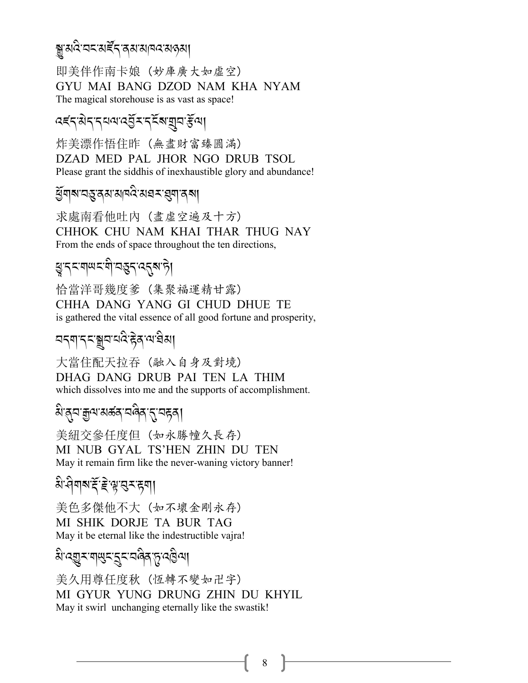#### য়ৢৼয়৻ঽ৾ৼঽৼয়ৼ৻ৼ৴ৼঀ৸ৼ৸৸৸৸৸৸

即美伴作南卡娘 (妙庫廣大如虛空) GYU MAI BANG DZOD NAM KHA NYAM The magical storehouse is as vast as space!

### *दहर सेर राजा दर्नु र रहें बाज़ून हैं बा*

炸美漂作悟住昨(無盡財富臻圓滿) DZAD MED PAL JHOR NGO DRUB TSOL Please grant the siddhis of inexhaustible glory and abundance!

#### ধ্ৰুমাৰামন্ত্ৰেমাঝামন্ত্ৰিমহম্ব্ৰমাৰৰা

求處南看他吐內 (盡虛空遍及十方) CHHOK CHU NAM KHAI THAR THUG NAY From the ends of space throughout the ten directions,

## য়ৢৼৼয়ড়ৼয়ৗৢৼড়ঀৼ৻৻ৼঀ

恰當洋哥幾度爹 (集聚福運精甘露) CHHA DANG YANG GI CHUD DHUE TE is gathered the vital essence of all good fortune and prosperity,

## 

大當住配天拉吞 (融入自身及對境) DHAG DANG DRUB PAI TEN LA THIM which dissolves into me and the supports of accomplishment.

## য়ড়য়ড়ৢ৻য়ড়ড়ৼঢ়ড়৻৸ড়৸

美紐交參任度但(如永勝幢久長存) MI NUB GYAL TS'HEN ZHIN DU TEN May it remain firm like the never-waning victory banner!

# बे नेगब दें हैं सूख रह**या**

美色多傑他不大 (如不壞金剛永存) MI SHIK DORJE TA BUR TAG May it be eternal like the indestructible vajra!

য়<sup>৻</sup>ঽয়ৄৼ<sup>৻</sup>য়ড়ৼ৾ৼৣৼৼয়৾ঀয়৻ঢ়ৢ৻ঽ৾৾৾ৣ৾৽য়

美久用尊任度秋 (恆轉不變如卍字) MI GYUR YUNG DRUNG ZHIN DU KHYIL May it swirl unchanging eternally like the swastik!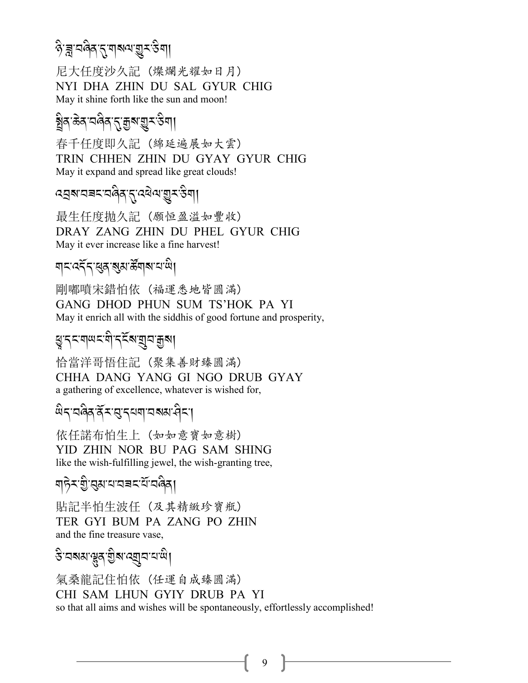#### $\delta$ <sup>-</sup>ব্লু:ঘণ্ড্ৰ-স্প্ৰিশ্ম বিশা .<br>.

尼大任度沙久記 (燦爛光耀如日月) NYI DHA ZHIN DU SAL GYUR CHIG May it shine forth like the sun and moon!

#### <u>ङ्</u>वैद<sup>,</sup>केद,च@ब,र्.श्रेष्र्र्रुङ्ख्या। .<br>. A

春千任度即久記 (綿延遍展如大雲) TRIN CHHEN ZHIN DU GYAY GYUR CHIG May it expand and spread like great clouds!

*:V?-29% -28* A*/-*.*-:1* J*= -*I*<-&* A*\$*,

最生任度拋久記 (願恒盈溢如豐收) DRAY ZANG ZHIN DU PHEL GYUR CHIG May it ever increase like a fine harvest!

## শ**্ৰম্**ধৰ্ম্ৱ উন্নৰ আৰু

剛嘟噴宋錯怕依 (福運悉地皆圓滿) GANG DHOD PHUN SUM TS'HOK PA YI May it enrich all with the siddhis of good fortune and prosperity,

#### ধু:বহরালহার্ড - <mark>প্রিয় প্রা</mark> A

恰當洋哥悟住記 (聚集善財臻圓滿) CHHA DANG YANG GI NGO DRUB GYAY a gathering of excellence, whatever is wished for,

## <sup>2</sup><br>सेद व्हेद देन स्वयं नवान सम्राप्त

依任諾布怕生上 (如如意寶如意樹) YID ZHIN NOR BU PAG SAM SHING like the wish-fulfilling jewel, the wish-granting tree,

মচি<sup>z-</sup>গ্ৰীপ্ৰমানানৰ বিদেশী

貼記半怕生波任 (及其精緻珍寶瓶) TER GYI BUM PA ZANG PO ZHIN and the fine treasure vase,

 $\mathfrak{F}$ <sup>-</sup>নেম্মাঞ্জুন্স্ট্রম্ব্রেন্দ্রামাঞ্জী

氣桑龍記住怕依 (任運自成臻圓滿) CHI SAM LHUN GYIY DRUB PA YI so that all aims and wishes will be spontaneously, effortlessly accomplished!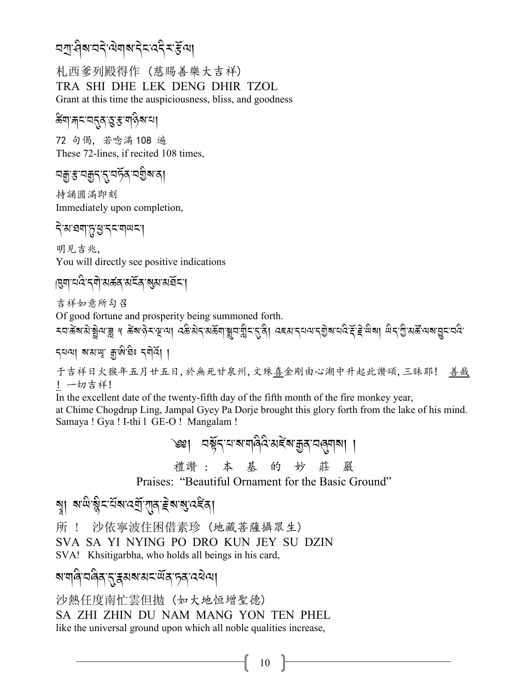### <u> নশ্ৰাধীৰ বাৰ্ত্তি ৰো</u>জন বিদ্ৰুত্তি ৰোজন বিদ্যালয় কৰা

札西爹列殿得作 (慈賜善樂大吉祥) TRA SHI DHE LEK DENG DHIR TZOL Grant at this time the auspiciousness, bliss, and goodness

#### ङ्गा<sub>र्गे</sub>दाद् दुःसार्वेबाया

72 句偈,若唸滿 108 遍 These 72-lines, if recited 108 times,

持誦圓滿即刻 Immediately upon completion,

明見吉兆, You will directly see positive indications

#### |মুন্মান্দৰে'ন্নী'মৰ্ক্ক'মৰ্হক'মুম'মৰ্ষ্কিন'|

吉祥如意所勾召

Of good fortune and prosperity being summoned forth.

মনজুৰ প্ৰায়ীৰ প্ৰত্যাগ্ৰা বিষ্ণা প্ৰস্থা পৰি আৰু বিষ্টা বিৰ্থা কৰি প্ৰকাৰ পৰি বিৰিষ্টা পৰি প্ৰায় বিৰ্যালয় ব

于吉祥日火猴年五月廿五日,於無死甘泉州,文殊喜金剛由心湖中升起此讚頌,三昧耶! 善哉 ! 一切吉祥!

In the excellent date of the twenty-fifth day of the fifth month of the fire monkey year, at Chime Chogdrup Ling, Jampal Gyey Pa Dorje brought this glory forth from the lake of his mind. Samaya ! Gya ! I-thi 1 GE-O ! Mangalam !

> ৩৩। বর্ষুন যামানবিবি মইমাক্কুন বৰ্ত্তবাৰণ 禮讚:本基的妙莊

Praises: "Beautiful Ornament for the Basic Ground"

ষ্য মজ্যই ইমব্য নেতা বিদ্বোধন কৰা

沙依寧波住困借素珍 (地藏菩薩攝眾生) 所 !

SVA SA YI NYING PO DRO KUN JEY SU DZIN

SVA! Khsitigarbha, who holds all beings in his card,

### য়য়ঢ়ঀৗড়৻য়ৼ৻ৼয়৸ৼ৻ড়৻৸৻৸৸৸

沙熱任度南忙雲但抛(如大地恒增聖德) SA ZHI ZHIN DU NAM MANG YON TEN PHEL like the universal ground upon which all noble qualities increase,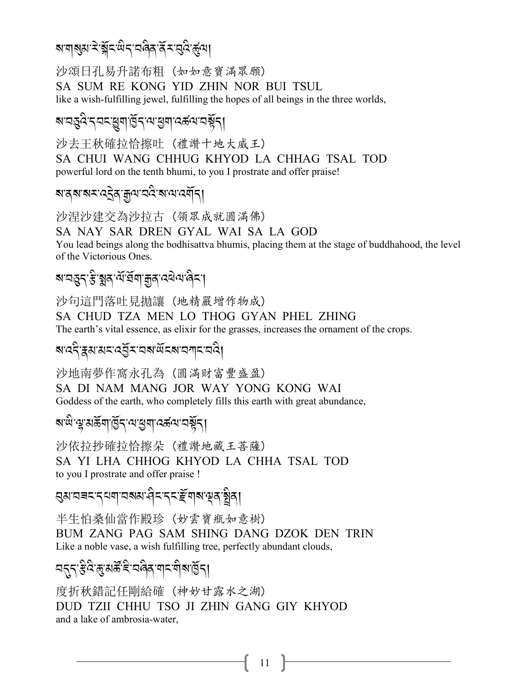#### য়য়য়য়ৼৗয়ৼড়৻ৼ৻ড়ঀৼ৻ড়৻ৼ৻ড়৻

沙頌日孔易升諾布粗 (如如意寶滿眾願) SA SUM RE KONG YID ZHIN NOR BUI TSUL like a wish-fulfilling jewel, fulfilling the hopes of all beings in the three worlds,

#### য়ৼৼড়ৢৼৼৼৼঀয়ড়ৄয়৻ঀৣৼ৻৸৻য়য়৸ৼৼ৻৸ৼ৸ৼ

沙去王秋確拉恰擦吐 (禮讚十地大威王) SA CHUI WANG CHHUG KHYOD LA CHHAG TSAL TOD powerful lord on the tenth bhumi, to you I prostrate and offer praise!

### য়ঀ৶৶ৼ৻ৼ৾ঀৼৗ৸৻৸ৼ৻ড়৻৸

沙涅沙建交為沙拉古 (領眾成就圓滿佛) SA NAY SAR DREN GYAL WAI SA LA GOD You lead beings along the bodhisattva bhumis, placing them at the stage of buddhahood, the level of the Victorious Ones.

### য়ৼঽৼ*ৼৣ*৾য়৶৻<u>৻ঽ৻য়ৣয়৸ড়ঀ৻ৼ</u>৻৻

沙句這門落吐見抛讓(地精嚴增作物成) SA CHUD TZA MEN LO THOG GYAN PHEL ZHING The earth's vital essence, as elixir for the grasses, increases the ornament of the crops.

### สเวริสมมราวฐั*ร*าวสานักสาวๆราววิ

沙地南夢作窩永孔為 (圓滿財富豐盛盈) SA DI NAM MANG JOR WAY YONG KONG WAI Goddess of the earth, who completely fills this earth with great abundance,

#### য়ড়ৢ৻ৠয়ড়ৄঀৣঀৣৼ৻ড়৻য়য়ঀ৻ড়ড়৻৸ড়৻য়

沙依拉抄確拉恰擦朵 (禮讚地藏王菩薩) SA YI LHA CHHOG KHYOD LA CHHA TSAL TOD to you I prostrate and offer praise !

#### য়৸য়য়ৼৼৼঀয়ৗৼঀৼ৻৸ৼ৻ৼ৻ৼ৻ৼ৻৸৸৸৸

半生怕桑仙當作殿珍 (妙雲寶瓶如意樹) BUM ZANG PAG SAM SHING DANG DZOK DEN TRIN Like a noble vase, a wish fulfilling tree, perfectly abundant clouds,

## ॱॺॸॣॸॱ<del>ॾ</del>ऀऀ॓ढ़ॱॺॖॖॐॕॾऀॱॺढ़ॆॺॱॺ∣ॸॱॺऀऻॺॱॺॖॎॕॸऻ

度折秋錯記任剛給確(神妙甘露水之湖) DUD TZII CHHU TSO JI ZHIN GANG GIY KHYOD and a lake of ambrosia-water,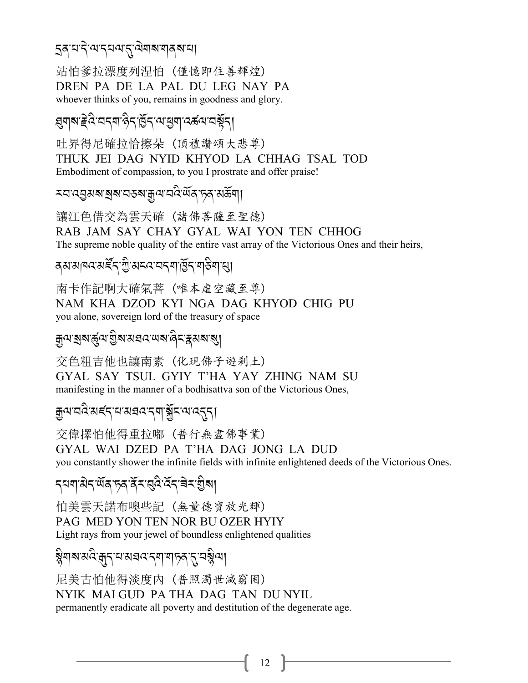#### **इक्**ष्पदेखद्यव्यह्यवेषाराज्ञक्षया

站怕爹拉漂度列涅怕 (僅憶即住善輝煌) DREN PA DE LA PAL DU LEG NAY PA whoever thinks of you, remains in goodness and glory.

## য়৸৶*৾*ৼ৻ৼৢৼ৸ৼ৻৸৻ড়৸ড়য়ৼঢ়৻ঢ়৻ড়৸ৼঢ়৻৸

吐界得尼確拉恰擦朵 (頂禮讚頌大悲尊) THUK JEI DAG NYID KHYOD LA CHHAG TSAL TOD Embodiment of compassion, to you I prostrate and offer praise!

#### ≍ঘ ব্রুমন শ্রম ঘতন শ্রুন ঘত্ত মুখ্য দ্র প্রভূত্র।

讓江色借交為雲天確(諸佛菩薩至聖德) RAB JAM SAY CHAY GYAL WAI YON TEN CHHOG The supreme noble quality of the entire vast array of the Victorious Ones and their heirs,

### वयःसावदःसङ्दैनः गुःसददः यदवा छिन् भाङ्गयासु।

南卡作記啊大確氣菩 (唯本虛空藏至尊) NAM KHA DZOD KYI NGA DAG KHYOD CHIG PU you alone, sovereign lord of the treasury of space

#### য়৾৸য়৶ৼৼঢ়৸য়য়ৼ৸ৼ৸ৼ৸ৼ৸ৼ৸

交色粗吉他也讓南素 (化現佛子遊刹土) GYAL SAY TSUL GYIY T'HA YAY ZHING NAM SU manifesting in the manner of a bodhisattva son of the Victorious Ones,

### য়ৢ৾৵য়ঽ৾য়ৼ৻৴য়য়য়ৼ৻৸য়৾ৼৢৼ৻৸ৼ৻৴য়

交偉擇怕他得重拉嘟(普行無盡佛事業) GYAL WAI DZED PA T'HA DAG JONG LA DUD you constantly shower the infinite fields with infinite enlightened deeds of the Victorious Ones.

## *ॸ*य़ॺॱऄॸॱ<sup>ॶ</sup>ॕॷॎॱफ़ॺॱऄॕॖॸॱख़ऀढ़ॱख़ॕॸॱॿॆॸॱॹॖऀॺ

怕美雲天諾布噢些記(無量德寶放光輝) PAG MED YON TEN NOR BU OZER HYIY Light rays from your jewel of boundless enlightened qualities

## ৡয়য়য়ঽড়ঢ়ৼঢ়ড়য়য়ড়ড়৻ড়৸ড়ড়ড়

尼美古怕他得淡度内 (普照濁世滅窮困) NYIK MALGUD PA THA DAG TAN DU NYIL permanently eradicate all poverty and destitution of the degenerate age.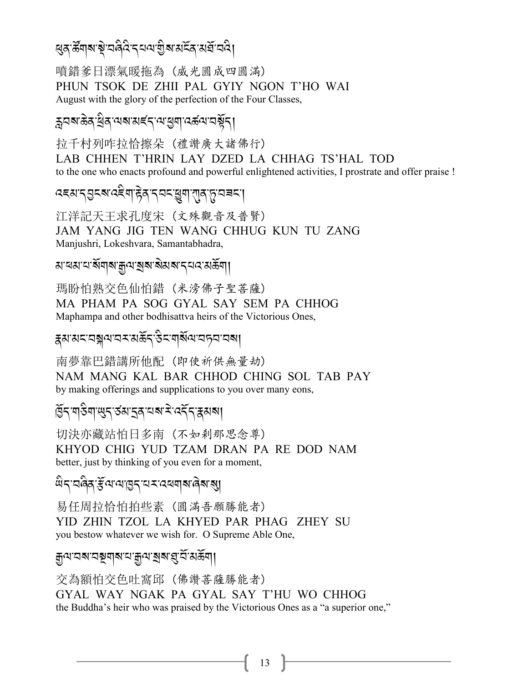#### ধ্ৰৰ্স্কীৰ্মস্থাৱৰ্দ্বি, <mark>প্ৰস্ৰাৱী</mark> বিদ্যালয়ৰ স্থা J

噴錯爹日漂氣暖拖為 (威光圓成四圓滿) PHUN TSOK DE ZHII PAL GYIY NGON T'HO WAI August with the glory of the perfection of the Four Classes,

# ক্লবম্প্ৰক ব্ৰাৱ্য স্মৰ্ক ব্ৰাৱ্য <mark>প্ৰক</mark>ান কৰি দিয়ে বি

拉千村列咋拉恰擦朵 (禮讚廣大諸佛行) LAB CHHEN T'HRIN LAY DZED LA CHHAG TS'HAL TOD to the one who enacts profound and powerful enlightened activities, I prostrate and offer praise !

*:)3-.L%?-: )* A*\$-g /-. 2% -*K*\$-*!*/-*+*-29%-*, .<br>.

江洋記天王求孔度宋 (文殊觀音及普賢) JAM YANG JIG TEN WANG CHHUG KUN TU ZANG Manjushri, Lokeshvara, Samantabhadra,

ম'ব্ৰম'ন'ৰ্মল<sub>ম'ৰ্মী</sub>ন'ৰ ৰামৰ'ন্নৰ'মৰ্ক্তনা

瑪盼怕熟交色仙怕錯 (米滂佛子聖菩薩) MA PHAM PA SOG GYAL SAY SEM PA CHHOG Maphampa and other bodhisattva heirs of the Victorious Ones,

ह्रुअ:अद्रःयङ्गव्यःयऊ्त्रं अद्र्<sub>य</sub> अर्.-अक्टूब्यः अर्.<br>इ.

南夢靠巴錯講所他配 (即使祈供無量劫) NAM MANG KAL BAR CHHOD CHING SOL TAB PAY by making offerings and supplications to you over many eons,

## ৰ্দ্ভিন'ম্ভিন'ৰ্ডম'হৰ'মৰ্ম'<sup>হ',</sup> ৰেইঁন'ক্কমৰ্ম

切決亦藏站怕日多南 (不如剎那思念尊) KHYOD CHIG YUD TZAM DRAN PA RE DOD NAM better, just by thinking of you even for a moment,

*;* A*.-28* A*/-l*R*=-=-H.-0<- :1\$?-8* J*?-*?,

易任周拉恰怕拍些素 (圓滿吾願勝能者) YID ZHIN TZOL LA KHYED PAR PHAG ZHEY SU you bestow whatever we wish for. O Supreme Able One,

ক্ৰুণ বৰ বছৰ সমাপ্ৰ সম্ভিত্ত সম্ভিত্তি

交為額怕交色吐窩邱 (佛讚菩薩勝能者) GYAL WAY NGAK PA GYAL SAY T'HU WO CHHOG the Buddha's heir who was praised by the Victorious Ones as a "a superior one,"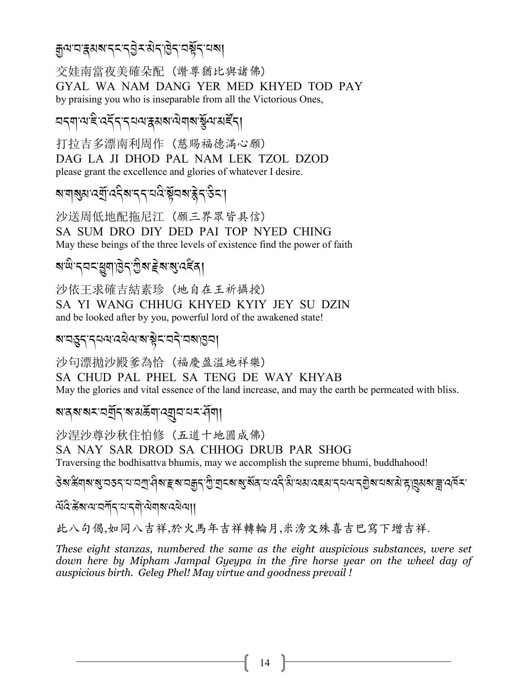# ক্স<sub>না</sub> প্ৰস্কাৰ স্পৰ্ক স্পৰ্ক স্পৰ্ক স্পৰ্ক স্পৰ্ক স্পৰ্ক স্পৰ্ক স্পৰ্ক স্পৰ্ক স্পৰ্ক স্পৰ্ক স্পৰ্ক স্পৰ্ক স্পৰ্ক<br>প্ৰশ

交娃南當夜美確朵配 (讚尊猶比與諸佛) GYAL WA NAM DANG YER MED KHYED TOD PAY by praising you who is inseparable from all the Victorious Ones,

# বব্দা মাই বৰ্বব্ৰব্যৰ স্বৰ মৰা মিলা স্কুৰা মৰ্হব্

打拉吉多漂南利周作 (慈賜福德滿心願) DAG LA JI DHOD PAL NAM LEK TZOL DZOD please grant the excellence and glories of whatever I desire.

ৰ'মাৰ্শ্বম'ৰ্মইৰ'ব্ৰ'ৰ'ৰ ষ্টুনৰ'ক্ট্ৰব'উন'| .<br>.<br>. A The contract of the contract of the contract of the contract of the contract of the contract of the contract of the contract of the contract of the contract of the contract of the contract of the contract of the contract

沙送周低地配拖尼江 (願三界眾皆具信) SA SUM DRO DIY DED PAI TOP NYED CHING May these beings of the three levels of existence find the power of faith

## ৰ'<sup>ঐ'</sup>ন্নন'ধ্ৰুণ'ট্ৰন'ট্ৰ'ৰ ইৰ'ৰ্'ৰ্<sup>হ</sup>ৰ|

沙依王求確吉結素珍 (地自在王祈攝授) SA YI WANG CHHUG KHYED KYIY JEY SU DZIN and be looked after by you, powerful lord of the awakened state!

ৰ'নম্ভব'ৰ্ব'ৰ'ৰ'ৰাষ্ট্ৰব'ৰ্ব'ৰৰ'ভিন| J J

沙句漂拋沙殿爹為恰 (福慶盈溢地祥樂) SA CHUD PAL PHEL SA TENG DE WAY KHYAB May the glories and vital essence of the land increase, and may the earth be permeated with bliss.

#### *ৰ*াৰ্যৰ মান্ত্ৰীৰ স্বাপ্ৰদ্বী সম্পৰ্কী সম্পৰ্কী সম্পৰ্কী সম্পৰ্কী সম্পৰ্কী সম্পৰ্কী সম্পৰ্কী সম্পৰ্কী সম্পৰ্কী

沙涅沙尊沙秋住怕修 (五道十地圓成佛) SA NAY SAR DROD SA CHHOG DRUB PAR SHOG Traversing the bodhisattva bhumis, may we accomplish the supreme bhumi, buddhahood!

\$৯'&য়ঌ'য়ৢ'নত৲ম'নীৰ'দ্ৰম'নক্ৰীয়াৰ সম্ভাৱীৰ দেৱীৰ সম্ভাৱিত কৰি বিদ্যালয় সম্ভাৱীৰ সম্ভাৱী সম্ভাৱীৰ সম্ভাৱীৰ সম্ A<br>A A

 $\widetilde{\alpha}$ হি:স্ক্ৰিয়ামান্সিন্দ্ৰ বিশ্ৰম

此八句偈,如同八吉祥,於火馬年吉祥轉輪月,米滂文殊喜吉巴寫下增吉祥.

*These eight stanzas, numbered the same as the eight auspicious substances, were set down here by Mipham Jampal Gyeypa in the fire horse year on the wheel day of auspicious birth. Geleg Phel! May virtue and goodness prevail !*